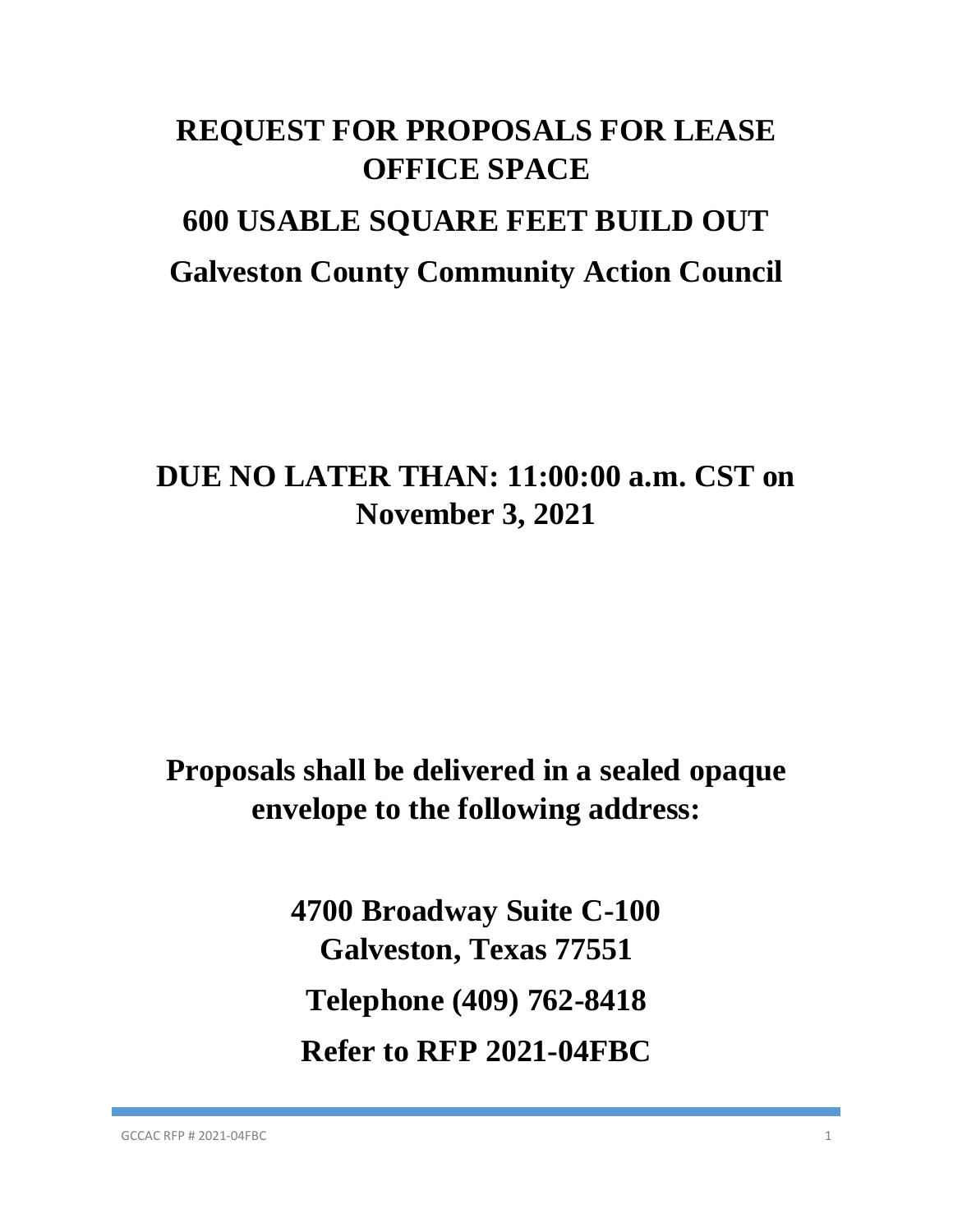# **REQUEST FOR PROPOSALS FOR LEASE OFFICE SPACE 600 USABLE SQUARE FEET BUILD OUT Galveston County Community Action Council**

## **DUE NO LATER THAN: 11:00:00 a.m. CST on November 3, 2021**

## **Proposals shall be delivered in a sealed opaque envelope to the following address:**

**4700 Broadway Suite C-100 Galveston, Texas 77551 Telephone (409) 762-8418 Refer to RFP 2021-04FBC**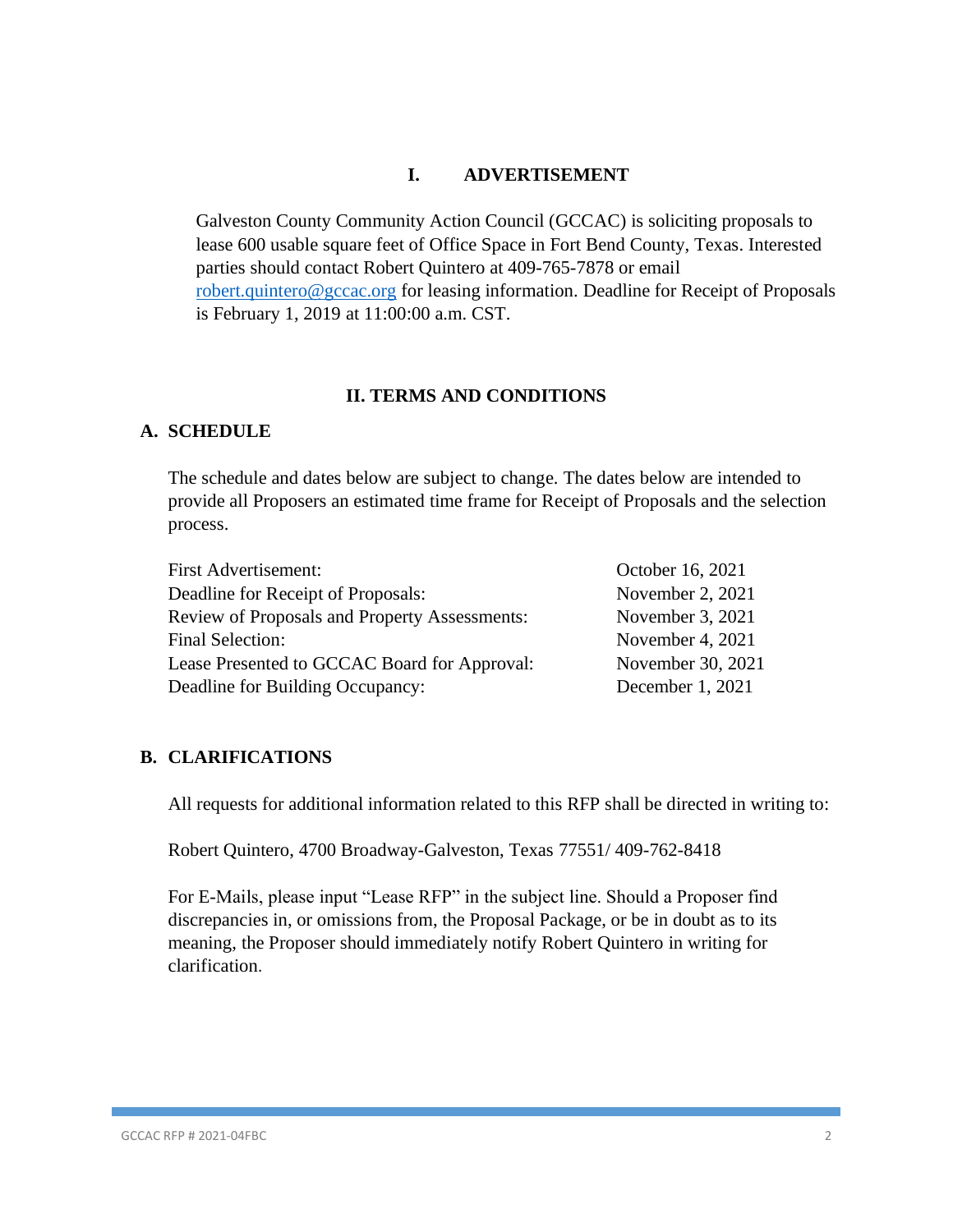### **I. ADVERTISEMENT**

Galveston County Community Action Council (GCCAC) is soliciting proposals to lease 600 usable square feet of Office Space in Fort Bend County, Texas. Interested parties should contact Robert Quintero at 409-765-7878 or email [robert.quintero@gccac.org](mailto:robert.quintero@gccac.org) for leasing information. Deadline for Receipt of Proposals is February 1, 2019 at 11:00:00 a.m. CST.

#### **II. TERMS AND CONDITIONS**

#### **A. SCHEDULE**

The schedule and dates below are subject to change. The dates below are intended to provide all Proposers an estimated time frame for Receipt of Proposals and the selection process.

| <b>First Advertisement:</b>                          | October 16, 2021  |
|------------------------------------------------------|-------------------|
| Deadline for Receipt of Proposals:                   | November 2, 2021  |
| <b>Review of Proposals and Property Assessments:</b> | November 3, 2021  |
| <b>Final Selection:</b>                              | November 4, 2021  |
| Lease Presented to GCCAC Board for Approval:         | November 30, 2021 |
| Deadline for Building Occupancy:                     | December 1, 2021  |

#### **B. CLARIFICATIONS**

All requests for additional information related to this RFP shall be directed in writing to:

Robert Quintero, 4700 Broadway-Galveston, Texas 77551/ 409-762-8418

For E-Mails, please input "Lease RFP" in the subject line. Should a Proposer find discrepancies in, or omissions from, the Proposal Package, or be in doubt as to its meaning, the Proposer should immediately notify Robert Quintero in writing for clarification.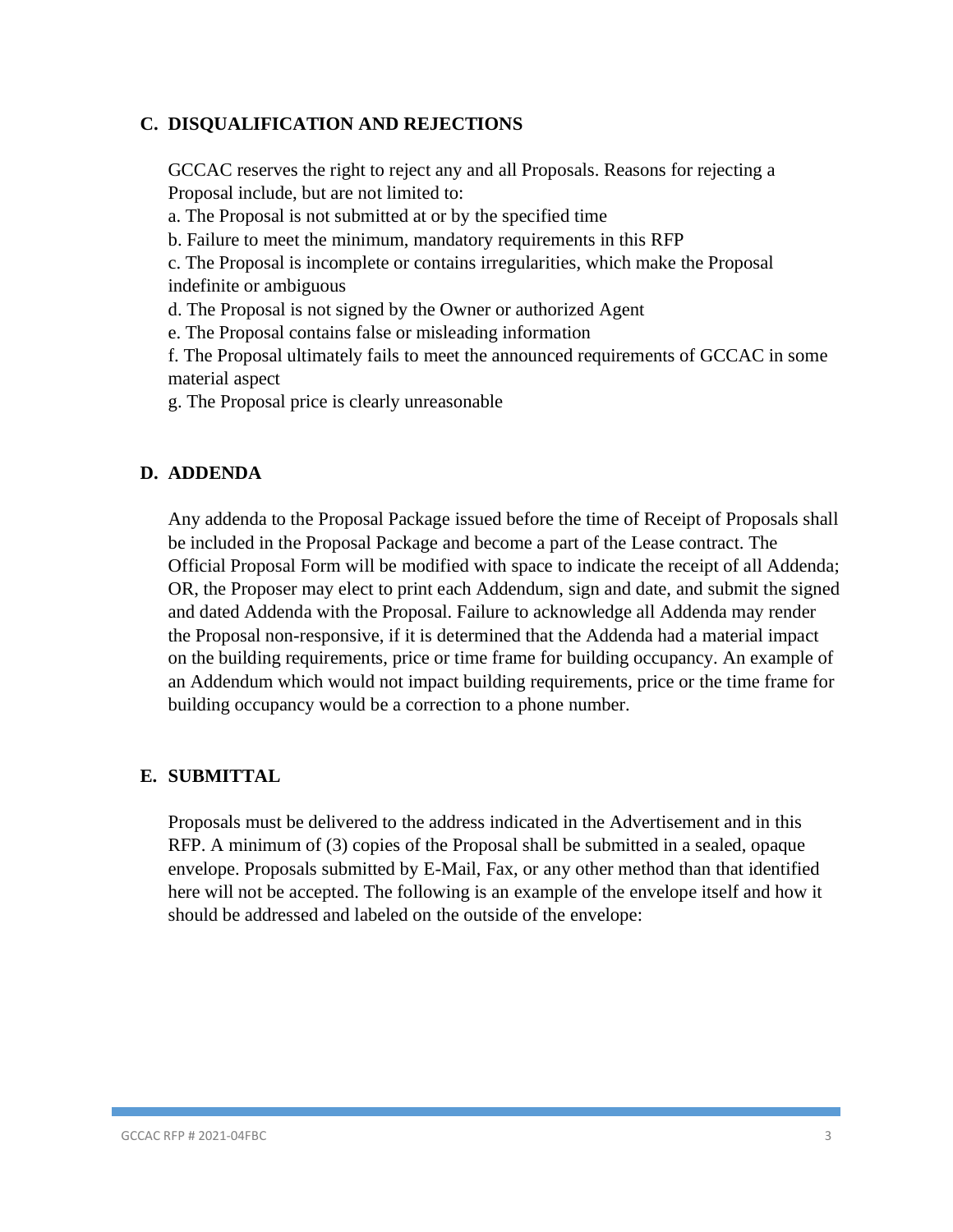## **C. DISQUALIFICATION AND REJECTIONS**

GCCAC reserves the right to reject any and all Proposals. Reasons for rejecting a Proposal include, but are not limited to:

a. The Proposal is not submitted at or by the specified time

b. Failure to meet the minimum, mandatory requirements in this RFP

c. The Proposal is incomplete or contains irregularities, which make the Proposal indefinite or ambiguous

d. The Proposal is not signed by the Owner or authorized Agent

e. The Proposal contains false or misleading information

f. The Proposal ultimately fails to meet the announced requirements of GCCAC in some material aspect

g. The Proposal price is clearly unreasonable

#### **D. ADDENDA**

Any addenda to the Proposal Package issued before the time of Receipt of Proposals shall be included in the Proposal Package and become a part of the Lease contract. The Official Proposal Form will be modified with space to indicate the receipt of all Addenda; OR, the Proposer may elect to print each Addendum, sign and date, and submit the signed and dated Addenda with the Proposal. Failure to acknowledge all Addenda may render the Proposal non-responsive, if it is determined that the Addenda had a material impact on the building requirements, price or time frame for building occupancy. An example of an Addendum which would not impact building requirements, price or the time frame for building occupancy would be a correction to a phone number.

#### **E. SUBMITTAL**

Proposals must be delivered to the address indicated in the Advertisement and in this RFP. A minimum of (3) copies of the Proposal shall be submitted in a sealed, opaque envelope. Proposals submitted by E-Mail, Fax, or any other method than that identified here will not be accepted. The following is an example of the envelope itself and how it should be addressed and labeled on the outside of the envelope: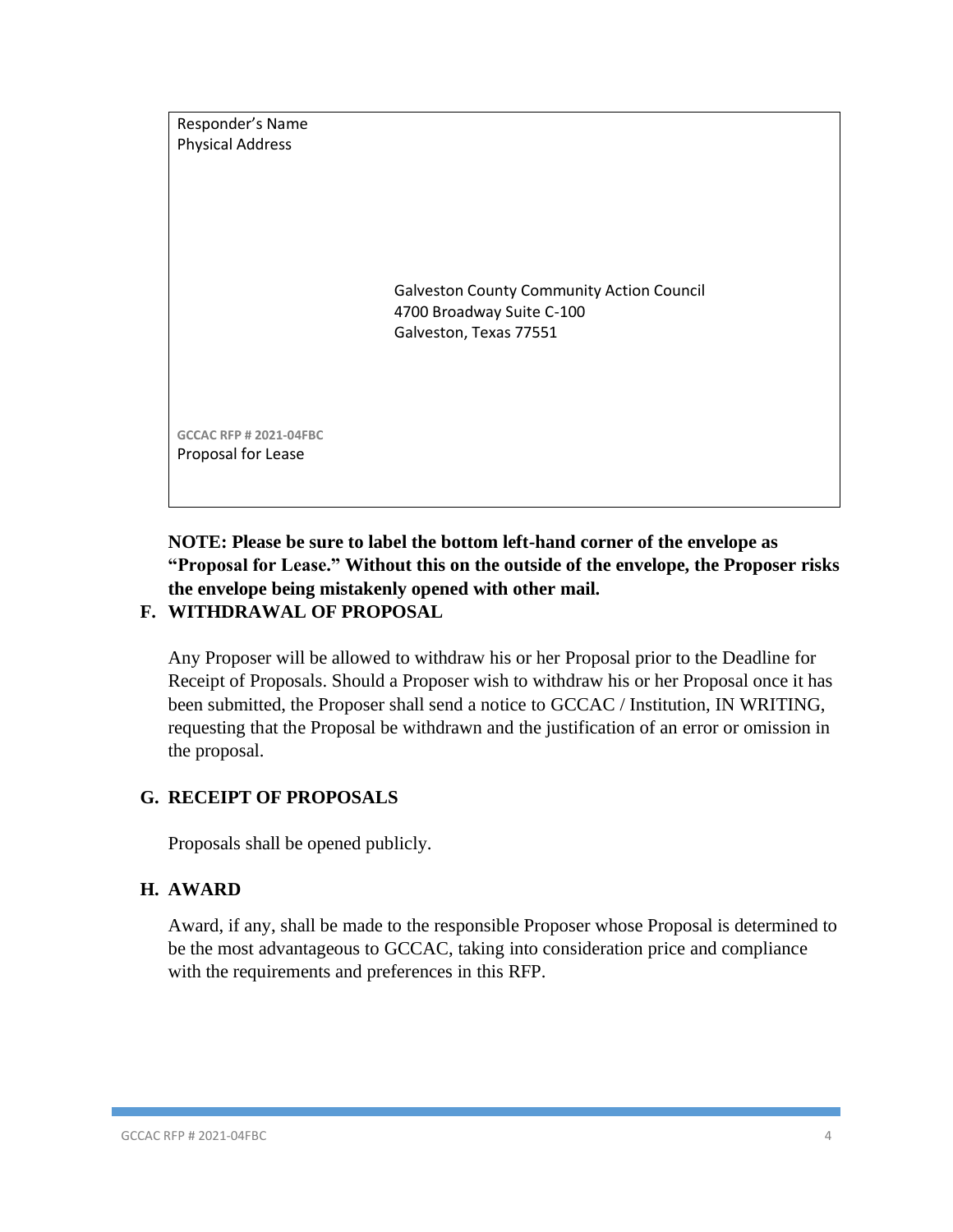

## **NOTE: Please be sure to label the bottom left-hand corner of the envelope as "Proposal for Lease." Without this on the outside of the envelope, the Proposer risks the envelope being mistakenly opened with other mail.**

## **F. WITHDRAWAL OF PROPOSAL**

Any Proposer will be allowed to withdraw his or her Proposal prior to the Deadline for Receipt of Proposals. Should a Proposer wish to withdraw his or her Proposal once it has been submitted, the Proposer shall send a notice to GCCAC / Institution, IN WRITING, requesting that the Proposal be withdrawn and the justification of an error or omission in the proposal.

## **G. RECEIPT OF PROPOSALS**

Proposals shall be opened publicly.

## **H. AWARD**

Award, if any, shall be made to the responsible Proposer whose Proposal is determined to be the most advantageous to GCCAC, taking into consideration price and compliance with the requirements and preferences in this RFP.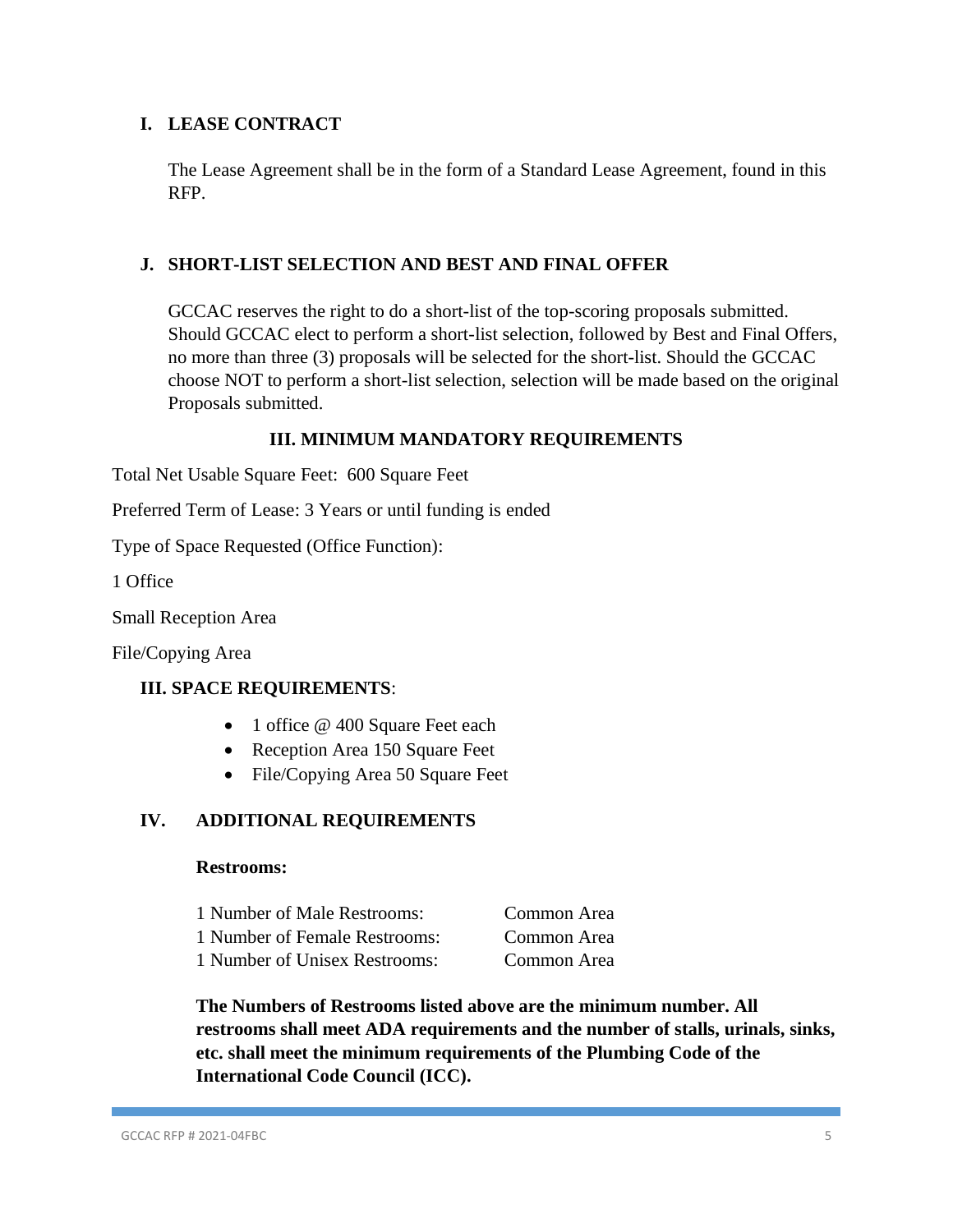## **I. LEASE CONTRACT**

The Lease Agreement shall be in the form of a Standard Lease Agreement, found in this RFP.

### **J. SHORT-LIST SELECTION AND BEST AND FINAL OFFER**

GCCAC reserves the right to do a short-list of the top-scoring proposals submitted. Should GCCAC elect to perform a short-list selection, followed by Best and Final Offers, no more than three (3) proposals will be selected for the short-list. Should the GCCAC choose NOT to perform a short-list selection, selection will be made based on the original Proposals submitted.

## **III. MINIMUM MANDATORY REQUIREMENTS**

Total Net Usable Square Feet: 600 Square Feet

Preferred Term of Lease: 3 Years or until funding is ended

Type of Space Requested (Office Function):

1 Office

Small Reception Area

File/Copying Area

#### **III. SPACE REQUIREMENTS**:

- 1 office @ 400 Square Feet each
- Reception Area 150 Square Feet
- File/Copying Area 50 Square Feet

## **IV. ADDITIONAL REQUIREMENTS**

#### **Restrooms:**

| 1 Number of Male Restrooms:   | Common Area |
|-------------------------------|-------------|
| 1 Number of Female Restrooms: | Common Area |
| 1 Number of Unisex Restrooms: | Common Area |

**The Numbers of Restrooms listed above are the minimum number. All restrooms shall meet ADA requirements and the number of stalls, urinals, sinks, etc. shall meet the minimum requirements of the Plumbing Code of the International Code Council (ICC).**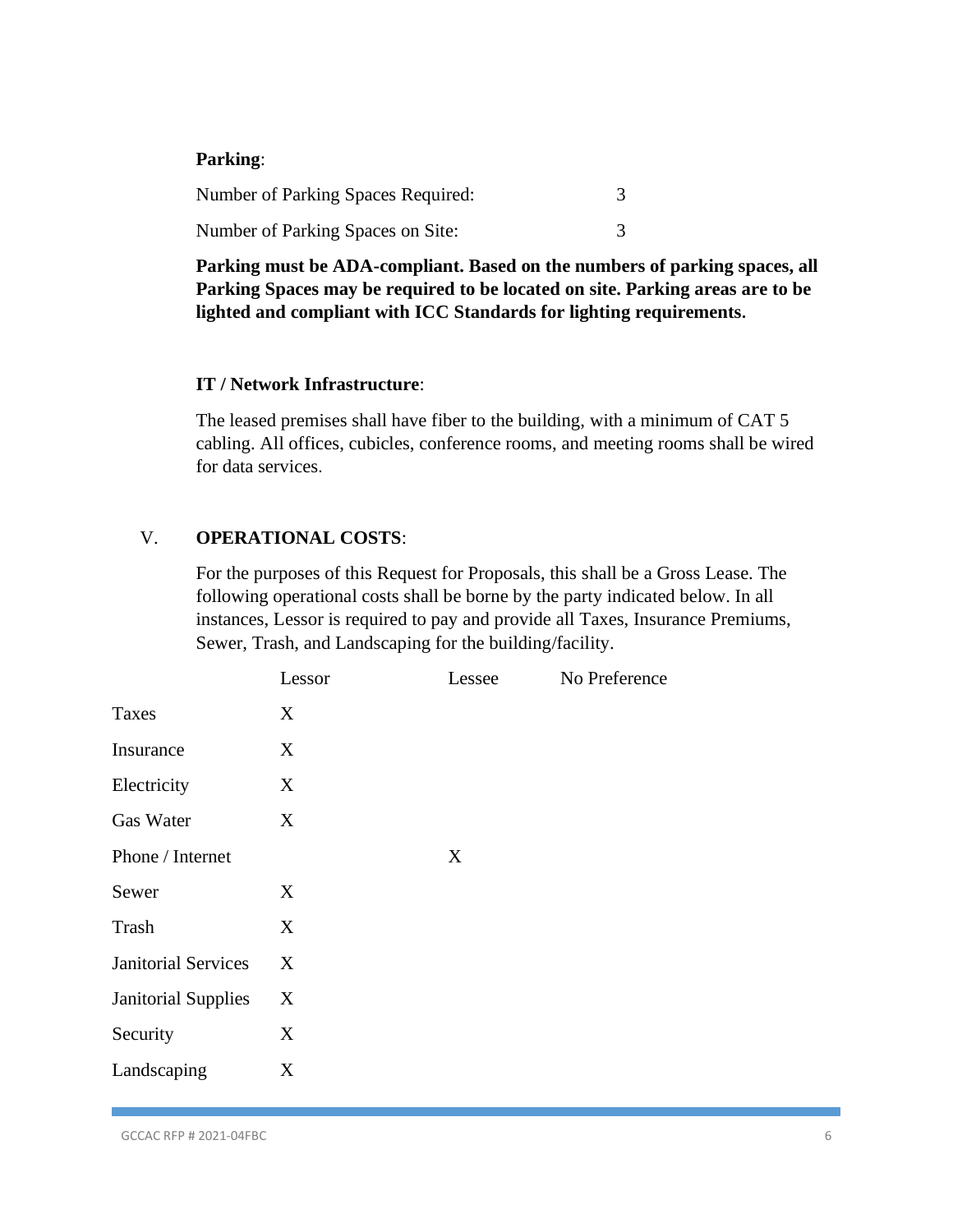#### **Parking**:

| <b>Number of Parking Spaces Required:</b> |  |
|-------------------------------------------|--|
| Number of Parking Spaces on Site:         |  |

**Parking must be ADA-compliant. Based on the numbers of parking spaces, all Parking Spaces may be required to be located on site. Parking areas are to be lighted and compliant with ICC Standards for lighting requirements.**

#### **IT / Network Infrastructure**:

The leased premises shall have fiber to the building, with a minimum of CAT 5 cabling. All offices, cubicles, conference rooms, and meeting rooms shall be wired for data services.

### V. **OPERATIONAL COSTS**:

For the purposes of this Request for Proposals, this shall be a Gross Lease. The following operational costs shall be borne by the party indicated below. In all instances, Lessor is required to pay and provide all Taxes, Insurance Premiums, Sewer, Trash, and Landscaping for the building/facility.

|                            | Lessor | Lessee | No Preference |
|----------------------------|--------|--------|---------------|
| <b>Taxes</b>               | X      |        |               |
| Insurance                  | X      |        |               |
| Electricity                | X      |        |               |
| <b>Gas Water</b>           | X      |        |               |
| Phone / Internet           |        | X      |               |
| Sewer                      | X      |        |               |
| Trash                      | X      |        |               |
| <b>Janitorial Services</b> | X      |        |               |
| <b>Janitorial Supplies</b> | X      |        |               |
| Security                   | X      |        |               |
| Landscaping                | X      |        |               |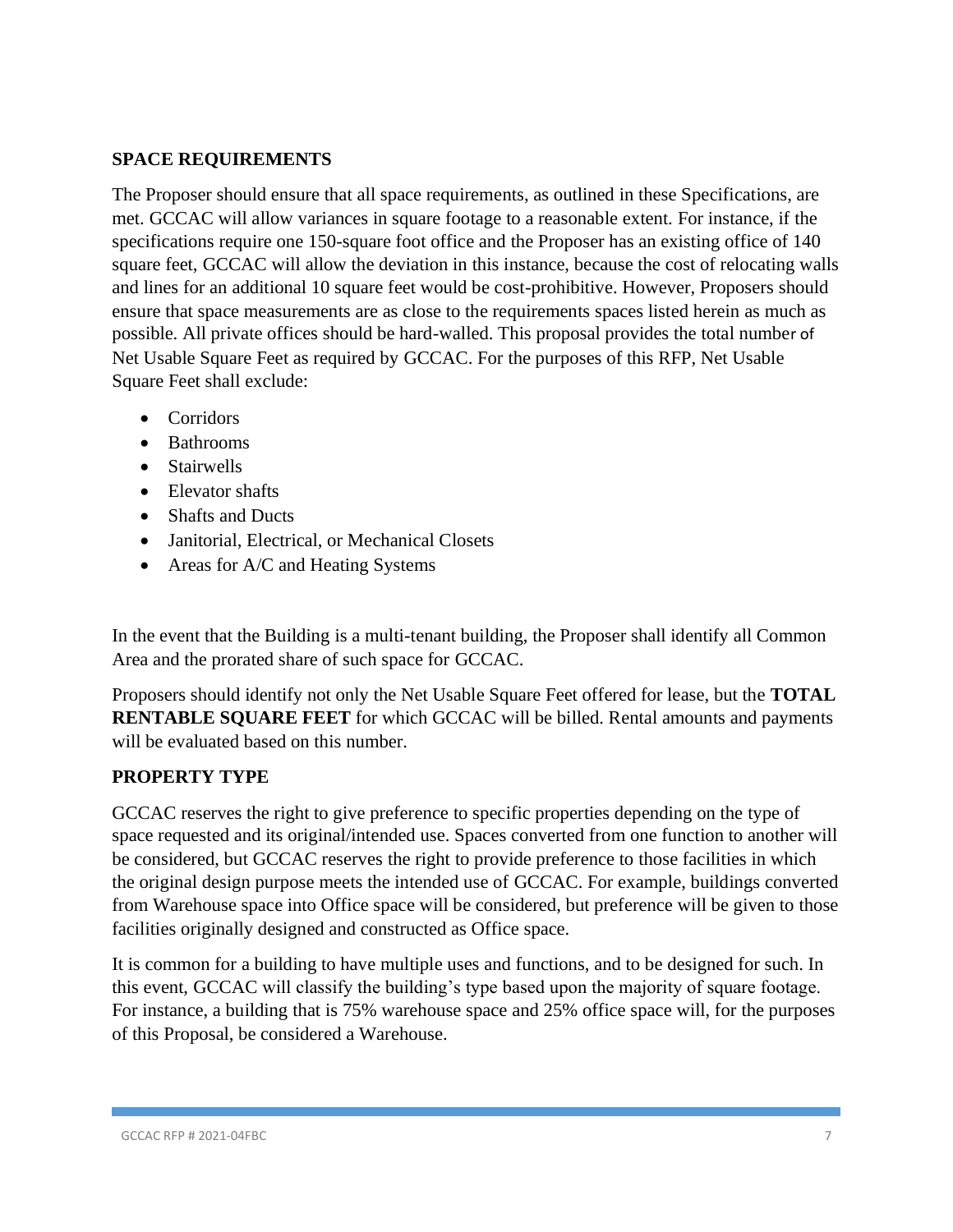## **SPACE REQUIREMENTS**

The Proposer should ensure that all space requirements, as outlined in these Specifications, are met. GCCAC will allow variances in square footage to a reasonable extent. For instance, if the specifications require one 150-square foot office and the Proposer has an existing office of 140 square feet, GCCAC will allow the deviation in this instance, because the cost of relocating walls and lines for an additional 10 square feet would be cost-prohibitive. However, Proposers should ensure that space measurements are as close to the requirements spaces listed herein as much as possible. All private offices should be hard-walled. This proposal provides the total number of Net Usable Square Feet as required by GCCAC. For the purposes of this RFP, Net Usable Square Feet shall exclude:

- Corridors
- Bathrooms
- Stairwells
- Elevator shafts
- Shafts and Ducts
- Janitorial, Electrical, or Mechanical Closets
- Areas for A/C and Heating Systems

In the event that the Building is a multi-tenant building, the Proposer shall identify all Common Area and the prorated share of such space for GCCAC.

Proposers should identify not only the Net Usable Square Feet offered for lease, but the **TOTAL RENTABLE SQUARE FEET** for which GCCAC will be billed. Rental amounts and payments will be evaluated based on this number.

## **PROPERTY TYPE**

GCCAC reserves the right to give preference to specific properties depending on the type of space requested and its original/intended use. Spaces converted from one function to another will be considered, but GCCAC reserves the right to provide preference to those facilities in which the original design purpose meets the intended use of GCCAC. For example, buildings converted from Warehouse space into Office space will be considered, but preference will be given to those facilities originally designed and constructed as Office space.

It is common for a building to have multiple uses and functions, and to be designed for such. In this event, GCCAC will classify the building's type based upon the majority of square footage. For instance, a building that is 75% warehouse space and 25% office space will, for the purposes of this Proposal, be considered a Warehouse.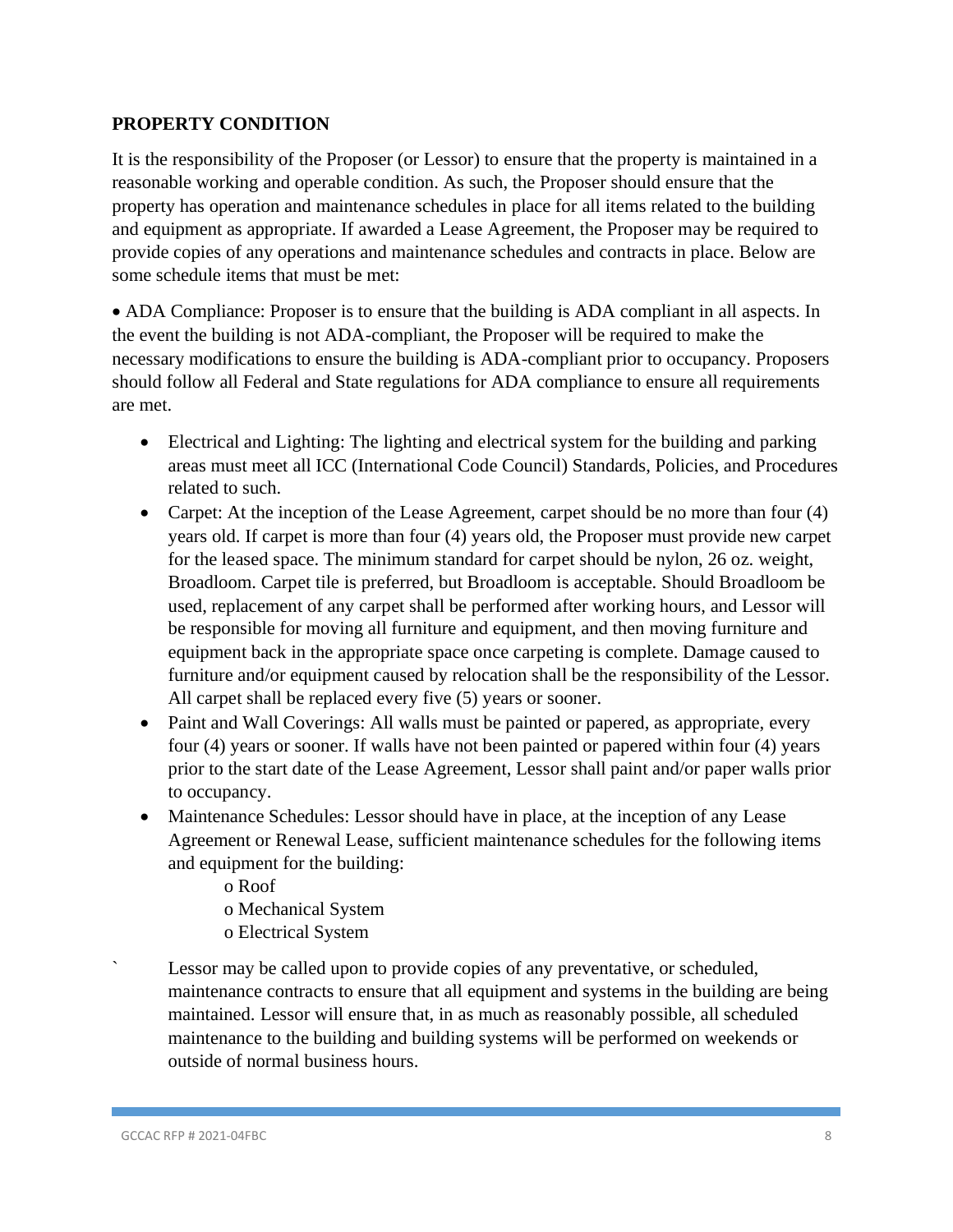## **PROPERTY CONDITION**

It is the responsibility of the Proposer (or Lessor) to ensure that the property is maintained in a reasonable working and operable condition. As such, the Proposer should ensure that the property has operation and maintenance schedules in place for all items related to the building and equipment as appropriate. If awarded a Lease Agreement, the Proposer may be required to provide copies of any operations and maintenance schedules and contracts in place. Below are some schedule items that must be met:

• ADA Compliance: Proposer is to ensure that the building is ADA compliant in all aspects. In the event the building is not ADA-compliant, the Proposer will be required to make the necessary modifications to ensure the building is ADA-compliant prior to occupancy. Proposers should follow all Federal and State regulations for ADA compliance to ensure all requirements are met.

- Electrical and Lighting: The lighting and electrical system for the building and parking areas must meet all ICC (International Code Council) Standards, Policies, and Procedures related to such.
- Carpet: At the inception of the Lease Agreement, carpet should be no more than four (4) years old. If carpet is more than four (4) years old, the Proposer must provide new carpet for the leased space. The minimum standard for carpet should be nylon, 26 oz. weight, Broadloom. Carpet tile is preferred, but Broadloom is acceptable. Should Broadloom be used, replacement of any carpet shall be performed after working hours, and Lessor will be responsible for moving all furniture and equipment, and then moving furniture and equipment back in the appropriate space once carpeting is complete. Damage caused to furniture and/or equipment caused by relocation shall be the responsibility of the Lessor. All carpet shall be replaced every five (5) years or sooner.
- Paint and Wall Coverings: All walls must be painted or papered, as appropriate, every four (4) years or sooner. If walls have not been painted or papered within four (4) years prior to the start date of the Lease Agreement, Lessor shall paint and/or paper walls prior to occupancy.
- Maintenance Schedules: Lessor should have in place, at the inception of any Lease Agreement or Renewal Lease, sufficient maintenance schedules for the following items and equipment for the building:
	- o Roof
	- o Mechanical System
	- o Electrical System
- Lessor may be called upon to provide copies of any preventative, or scheduled, maintenance contracts to ensure that all equipment and systems in the building are being maintained. Lessor will ensure that, in as much as reasonably possible, all scheduled maintenance to the building and building systems will be performed on weekends or outside of normal business hours.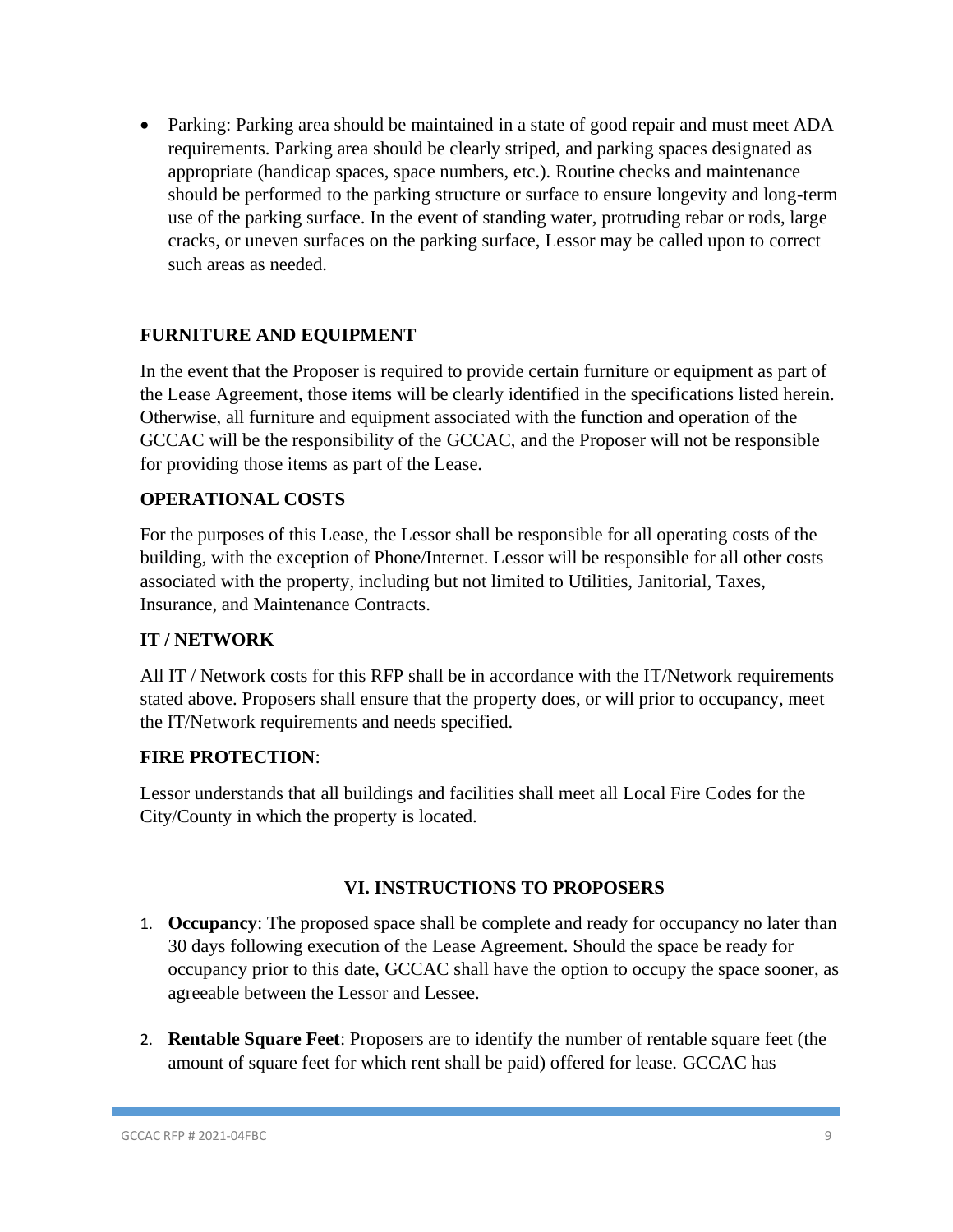• Parking: Parking area should be maintained in a state of good repair and must meet ADA requirements. Parking area should be clearly striped, and parking spaces designated as appropriate (handicap spaces, space numbers, etc.). Routine checks and maintenance should be performed to the parking structure or surface to ensure longevity and long-term use of the parking surface. In the event of standing water, protruding rebar or rods, large cracks, or uneven surfaces on the parking surface, Lessor may be called upon to correct such areas as needed.

## **FURNITURE AND EQUIPMENT**

In the event that the Proposer is required to provide certain furniture or equipment as part of the Lease Agreement, those items will be clearly identified in the specifications listed herein. Otherwise, all furniture and equipment associated with the function and operation of the GCCAC will be the responsibility of the GCCAC, and the Proposer will not be responsible for providing those items as part of the Lease.

## **OPERATIONAL COSTS**

For the purposes of this Lease, the Lessor shall be responsible for all operating costs of the building, with the exception of Phone/Internet. Lessor will be responsible for all other costs associated with the property, including but not limited to Utilities, Janitorial, Taxes, Insurance, and Maintenance Contracts.

#### **IT / NETWORK**

All IT / Network costs for this RFP shall be in accordance with the IT/Network requirements stated above. Proposers shall ensure that the property does, or will prior to occupancy, meet the IT/Network requirements and needs specified.

## **FIRE PROTECTION**:

Lessor understands that all buildings and facilities shall meet all Local Fire Codes for the City/County in which the property is located.

#### **VI. INSTRUCTIONS TO PROPOSERS**

- 1. **Occupancy**: The proposed space shall be complete and ready for occupancy no later than 30 days following execution of the Lease Agreement. Should the space be ready for occupancy prior to this date, GCCAC shall have the option to occupy the space sooner, as agreeable between the Lessor and Lessee.
- 2. **Rentable Square Feet**: Proposers are to identify the number of rentable square feet (the amount of square feet for which rent shall be paid) offered for lease. GCCAC has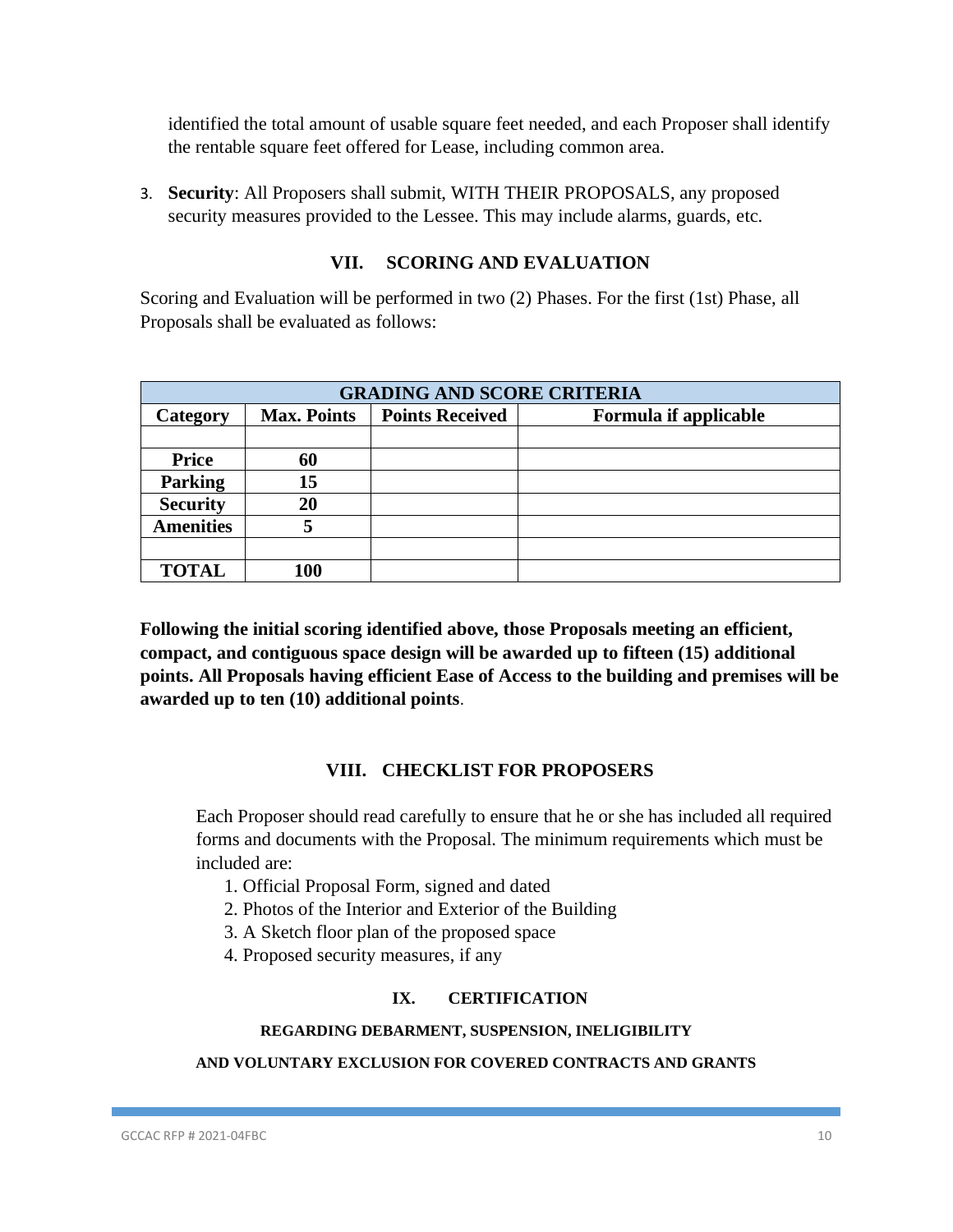identified the total amount of usable square feet needed, and each Proposer shall identify the rentable square feet offered for Lease, including common area.

3. **Security**: All Proposers shall submit, WITH THEIR PROPOSALS, any proposed security measures provided to the Lessee. This may include alarms, guards, etc.

### **VII. SCORING AND EVALUATION**

Scoring and Evaluation will be performed in two (2) Phases. For the first (1st) Phase, all Proposals shall be evaluated as follows:

| <b>GRADING AND SCORE CRITERIA</b> |                    |                        |                       |
|-----------------------------------|--------------------|------------------------|-----------------------|
| Category                          | <b>Max. Points</b> | <b>Points Received</b> | Formula if applicable |
|                                   |                    |                        |                       |
| <b>Price</b>                      | 60                 |                        |                       |
| <b>Parking</b>                    | 15                 |                        |                       |
| <b>Security</b>                   | 20                 |                        |                       |
| <b>Amenities</b>                  |                    |                        |                       |
|                                   |                    |                        |                       |
| <b>TOTAL</b>                      | 100                |                        |                       |

**Following the initial scoring identified above, those Proposals meeting an efficient, compact, and contiguous space design will be awarded up to fifteen (15) additional points. All Proposals having efficient Ease of Access to the building and premises will be awarded up to ten (10) additional points**.

#### **VIII. CHECKLIST FOR PROPOSERS**

Each Proposer should read carefully to ensure that he or she has included all required forms and documents with the Proposal. The minimum requirements which must be included are:

- 1. Official Proposal Form, signed and dated
- 2. Photos of the Interior and Exterior of the Building
- 3. A Sketch floor plan of the proposed space
- 4. Proposed security measures, if any

#### **IX. CERTIFICATION**

#### **REGARDING DEBARMENT, SUSPENSION, INELIGIBILITY**

#### **AND VOLUNTARY EXCLUSION FOR COVERED CONTRACTS AND GRANTS**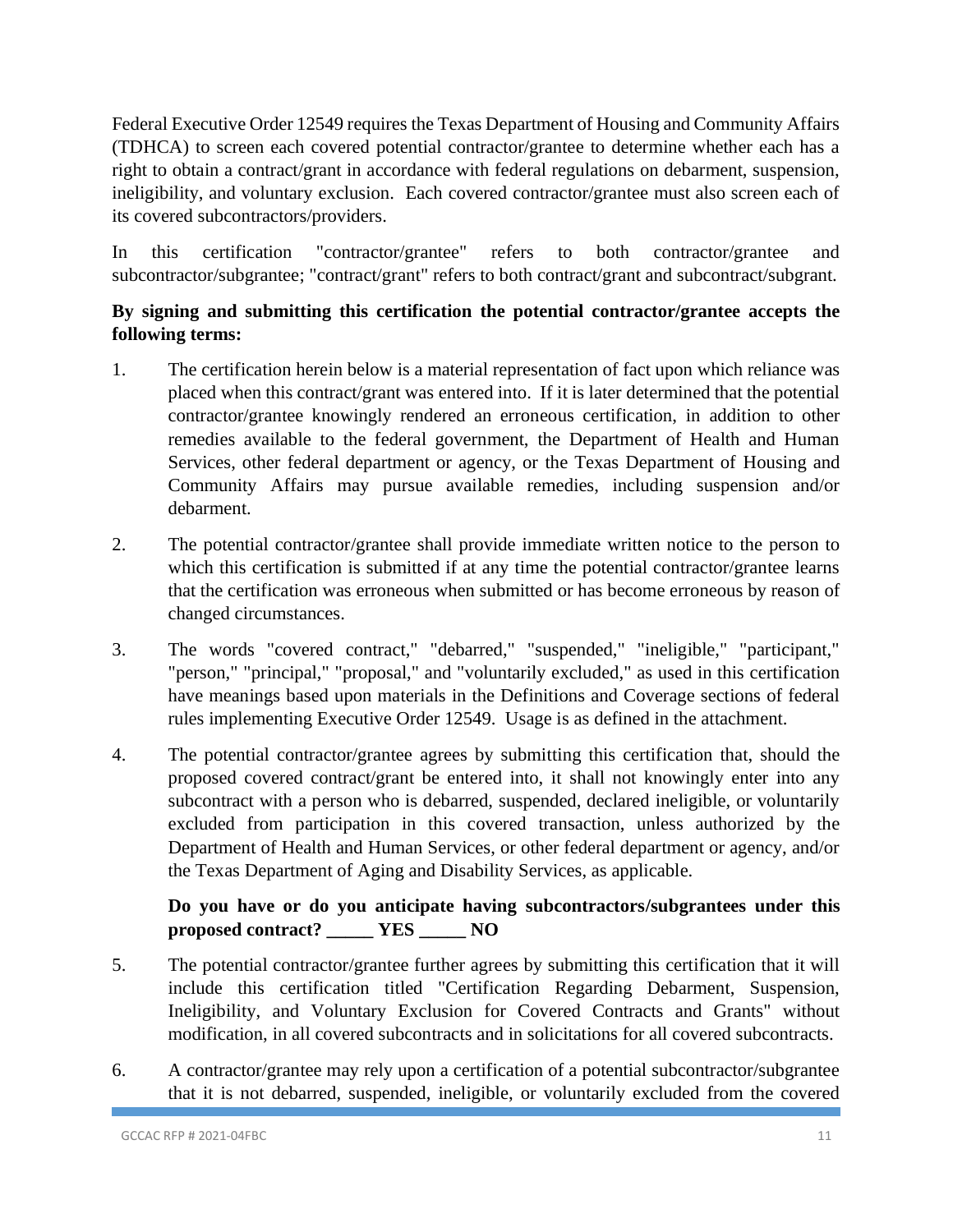Federal Executive Order 12549 requires the Texas Department of Housing and Community Affairs (TDHCA) to screen each covered potential contractor/grantee to determine whether each has a right to obtain a contract/grant in accordance with federal regulations on debarment, suspension, ineligibility, and voluntary exclusion. Each covered contractor/grantee must also screen each of its covered subcontractors/providers.

In this certification "contractor/grantee" refers to both contractor/grantee and subcontractor/subgrantee; "contract/grant" refers to both contract/grant and subcontract/subgrant.

## **By signing and submitting this certification the potential contractor/grantee accepts the following terms:**

- 1. The certification herein below is a material representation of fact upon which reliance was placed when this contract/grant was entered into. If it is later determined that the potential contractor/grantee knowingly rendered an erroneous certification, in addition to other remedies available to the federal government, the Department of Health and Human Services, other federal department or agency, or the Texas Department of Housing and Community Affairs may pursue available remedies, including suspension and/or debarment.
- 2. The potential contractor/grantee shall provide immediate written notice to the person to which this certification is submitted if at any time the potential contractor/grantee learns that the certification was erroneous when submitted or has become erroneous by reason of changed circumstances.
- 3. The words "covered contract," "debarred," "suspended," "ineligible," "participant," "person," "principal," "proposal," and "voluntarily excluded," as used in this certification have meanings based upon materials in the Definitions and Coverage sections of federal rules implementing Executive Order 12549. Usage is as defined in the attachment.
- 4. The potential contractor/grantee agrees by submitting this certification that, should the proposed covered contract/grant be entered into, it shall not knowingly enter into any subcontract with a person who is debarred, suspended, declared ineligible, or voluntarily excluded from participation in this covered transaction, unless authorized by the Department of Health and Human Services, or other federal department or agency, and/or the Texas Department of Aging and Disability Services, as applicable.

## **Do you have or do you anticipate having subcontractors/subgrantees under this proposed contract? \_\_\_\_\_ YES \_\_\_\_\_ NO**

- 5. The potential contractor/grantee further agrees by submitting this certification that it will include this certification titled "Certification Regarding Debarment, Suspension, Ineligibility, and Voluntary Exclusion for Covered Contracts and Grants" without modification, in all covered subcontracts and in solicitations for all covered subcontracts.
- 6. A contractor/grantee may rely upon a certification of a potential subcontractor/subgrantee that it is not debarred, suspended, ineligible, or voluntarily excluded from the covered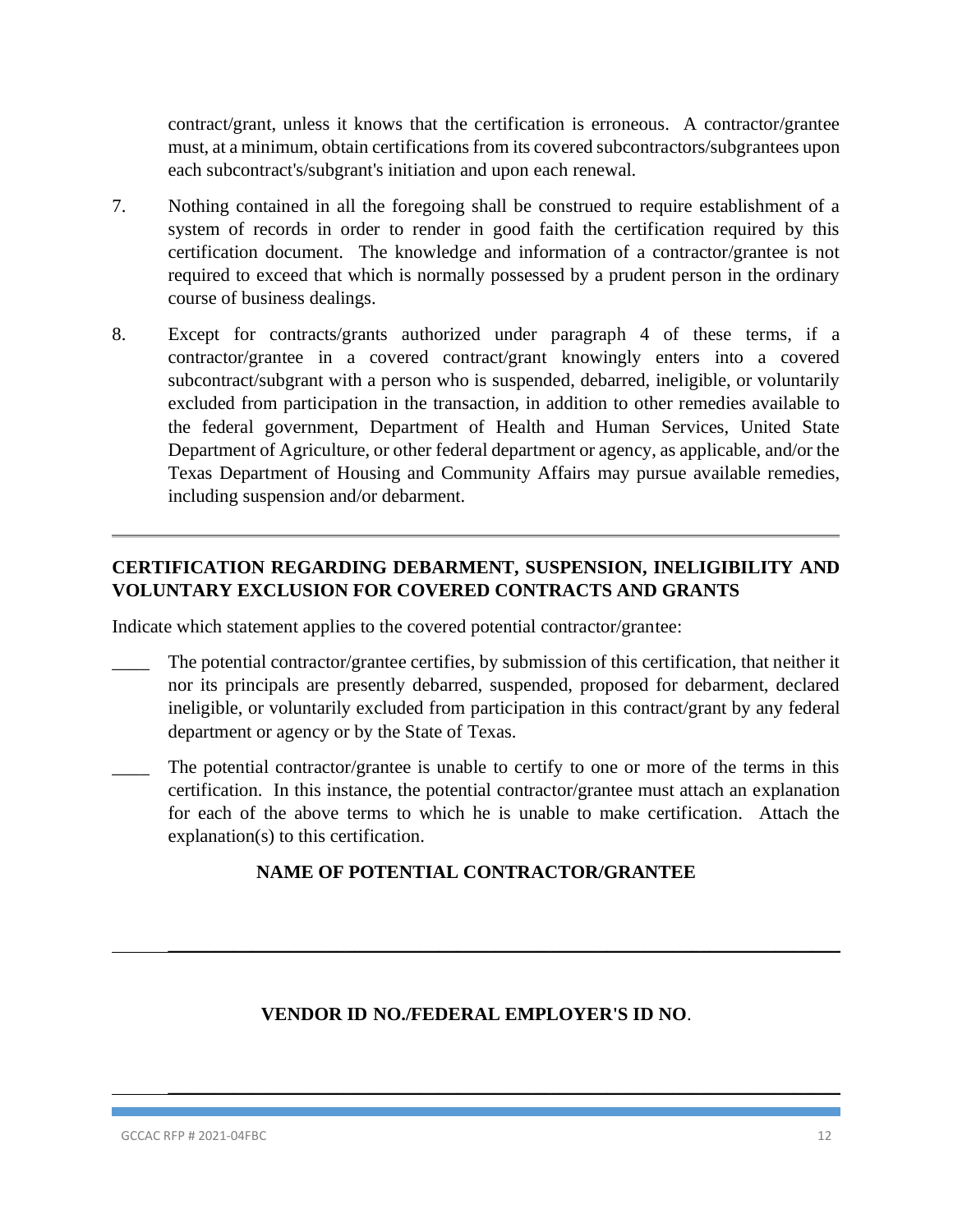contract/grant, unless it knows that the certification is erroneous. A contractor/grantee must, at a minimum, obtain certifications from its covered subcontractors/subgrantees upon each subcontract's/subgrant's initiation and upon each renewal.

- 7. Nothing contained in all the foregoing shall be construed to require establishment of a system of records in order to render in good faith the certification required by this certification document. The knowledge and information of a contractor/grantee is not required to exceed that which is normally possessed by a prudent person in the ordinary course of business dealings.
- 8. Except for contracts/grants authorized under paragraph 4 of these terms, if a contractor/grantee in a covered contract/grant knowingly enters into a covered subcontract/subgrant with a person who is suspended, debarred, ineligible, or voluntarily excluded from participation in the transaction, in addition to other remedies available to the federal government, Department of Health and Human Services, United State Department of Agriculture, or other federal department or agency, as applicable, and/or the Texas Department of Housing and Community Affairs may pursue available remedies, including suspension and/or debarment.

## **CERTIFICATION REGARDING DEBARMENT, SUSPENSION, INELIGIBILITY AND VOLUNTARY EXCLUSION FOR COVERED CONTRACTS AND GRANTS**

Indicate which statement applies to the covered potential contractor/grantee:

- The potential contractor/grantee certifies, by submission of this certification, that neither it nor its principals are presently debarred, suspended, proposed for debarment, declared ineligible, or voluntarily excluded from participation in this contract/grant by any federal department or agency or by the State of Texas.
- The potential contractor/grantee is unable to certify to one or more of the terms in this certification. In this instance, the potential contractor/grantee must attach an explanation for each of the above terms to which he is unable to make certification. Attach the explanation(s) to this certification.

## **NAME OF POTENTIAL CONTRACTOR/GRANTEE**

## **VENDOR ID NO./FEDERAL EMPLOYER'S ID NO**.

 $\_$  , and the contribution of the contribution of  $\mathcal{L}_\mathcal{A}$  , and the contribution of  $\mathcal{L}_\mathcal{A}$ 

 $\_$  , and the contribution of the contribution of  $\mathcal{L}_\mathcal{A}$  , and the contribution of  $\mathcal{L}_\mathcal{A}$